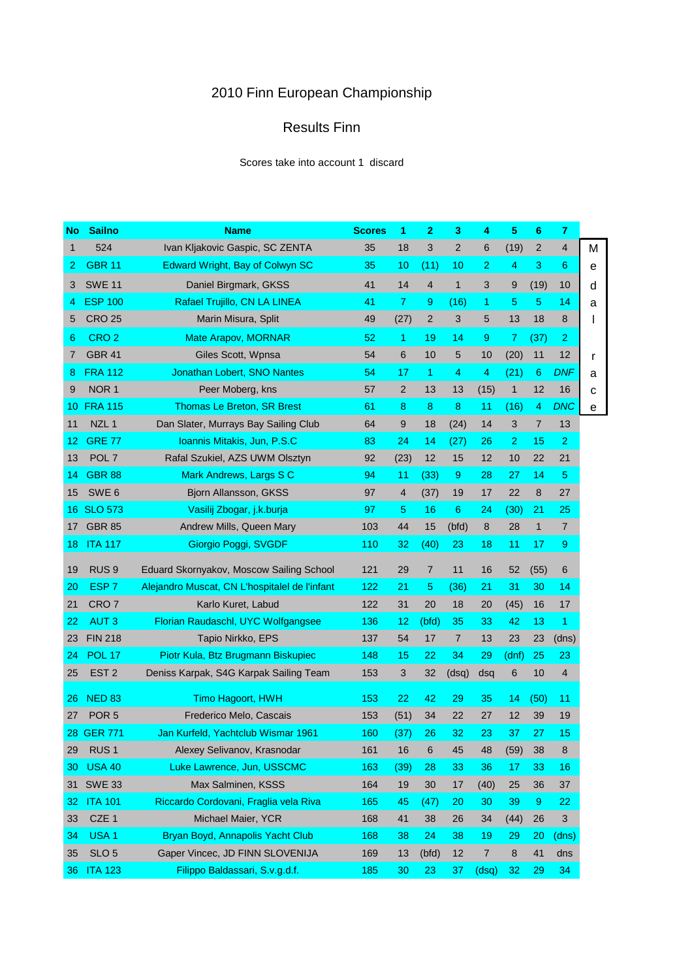## 2010 Finn European Championship

## Results Finn

Scores take into account 1 discard

| No  | <b>Sailno</b>    | <b>Name</b>                                   | <b>Scores</b> | 1              | $\overline{2}$ | 3              | 4              | 5              | 6              | $\overline{7}$ |   |
|-----|------------------|-----------------------------------------------|---------------|----------------|----------------|----------------|----------------|----------------|----------------|----------------|---|
| 1   | 524              | Ivan Kljakovic Gaspic, SC ZENTA               | 35            | 18             | 3              | $\overline{2}$ | 6              | (19)           | 2              | $\overline{4}$ | M |
| 2   | <b>GBR 11</b>    | Edward Wright, Bay of Colwyn SC               | 35            | 10             | (11)           | 10             | $\overline{2}$ | $\overline{4}$ | 3              | 6              | е |
| 3   | <b>SWE 11</b>    | Daniel Birgmark, GKSS                         | 41            | 14             | 4              | $\mathbf{1}$   | 3              | 9              | (19)           | 10             | d |
| 4   | <b>ESP 100</b>   | Rafael Trujillo, CN LA LINEA                  | 41            | $\overline{7}$ | 9              | (16)           | 1              | 5              | 5              | 14             | a |
| 5   | <b>CRO 25</b>    | Marin Misura, Split                           | 49            | (27)           | 2              | 3              | 5              | 13             | 18             | 8              | I |
| 6   | CRO <sub>2</sub> | <b>Mate Arapov, MORNAR</b>                    | 52            | 1              | 19             | 14             | 9              | 7              | (37)           | $\overline{2}$ |   |
| 7   | <b>GBR 41</b>    | Giles Scott, Wpnsa                            | 54            | 6              | 10             | 5              | 10             | (20)           | 11             | 12             | r |
| 8   | <b>FRA 112</b>   | <b>Jonathan Lobert, SNO Nantes</b>            | 54            | 17             | $\mathbf{1}$   | 4              | 4              | (21)           | 6              | <b>DNF</b>     | а |
| 9   | NOR <sub>1</sub> | Peer Moberg, kns                              | 57            | 2              | 13             | 13             | (15)           | $\mathbf{1}$   | 12             | 16             | C |
| 10  | <b>FRA 115</b>   | <b>Thomas Le Breton, SR Brest</b>             | 61            | 8              | 8              | 8              | 11             | (16)           | 4              | <b>DNC</b>     | е |
| 11  | NZL <sub>1</sub> | Dan Slater, Murrays Bay Sailing Club          | 64            | 9              | 18             | (24)           | 14             | 3              | $\overline{7}$ | 13             |   |
| 12  | <b>GRE 77</b>    | Ioannis Mitakis, Jun, P.S.C                   | 83            | 24             | 14             | (27)           | 26             | $\overline{2}$ | 15             | $\overline{2}$ |   |
| 13  | POL <sub>7</sub> | Rafal Szukiel, AZS UWM Olsztyn                | 92            | (23)           | 12             | 15             | 12             | 10             | 22             | 21             |   |
| 14  | <b>GBR 88</b>    | Mark Andrews, Largs S C                       | 94            | 11             | (33)           | 9              | 28             | 27             | 14             | 5              |   |
| 15  | SWE <sub>6</sub> | Bjorn Allansson, GKSS                         | 97            | 4              | (37)           | 19             | 17             | 22             | 8              | 27             |   |
| 16. | <b>SLO 573</b>   | Vasilij Zbogar, j.k.burja                     | 97            | 5              | 16             | 6              | 24             | (30)           | 21             | 25             |   |
| 17  | <b>GBR 85</b>    | Andrew Mills, Queen Mary                      | 103           | 44             | 15             | (bfd)          | 8              | 28             | $\mathbf{1}$   | $\overline{7}$ |   |
| 18  | <b>ITA 117</b>   | Giorgio Poggi, SVGDF                          | 110           | 32             | (40)           | 23             | 18             | 11             | 17             | 9              |   |
| 19  | RUS <sub>9</sub> | Eduard Skornyakov, Moscow Sailing School      | 121           | 29             | $\overline{7}$ | 11             | 16             | 52             | (55)           | 6              |   |
| 20  | ESP <sub>7</sub> | Alejandro Muscat, CN L'hospitalel de l'infant | 122           | 21             | 5              | (36)           | 21             | 31             | 30             | 14             |   |
| 21  | CRO <sub>7</sub> | Karlo Kuret, Labud                            | 122           | 31             | 20             | 18             | 20             | (45)           | 16             | 17             |   |
| 22  | <b>AUT3</b>      | Florian Raudaschl, UYC Wolfgangsee            | 136           | 12             | (bfd)          | 35             | 33             | 42             | 13             | 1              |   |
| 23  | <b>FIN 218</b>   | Tapio Nirkko, EPS                             | 137           | 54             | 17             | $\overline{7}$ | 13             | 23             | 23             | (dns)          |   |
| 24  | <b>POL 17</b>    | Piotr Kula, Btz Brugmann Biskupiec            | 148           | 15             | 22             | 34             | 29             | (dnf)          | 25             | 23             |   |
| 25  | EST <sub>2</sub> | Deniss Karpak, S4G Karpak Sailing Team        | 153           | 3              | 32             | (dsq)          | dsq            | 6              | 10             | 4              |   |
| 26  | <b>NED 83</b>    | Timo Hagoort, HWH                             | 153           | 22             | 42             | 29             | 35             | 14             | (50)           | 11             |   |
| 27  | POR <sub>5</sub> | Frederico Melo, Cascais                       | 153           | (51)           | 34             | 22             | 27             | 12             | 39             | 19             |   |
|     | 28 GER 771       | Jan Kurfeld, Yachtclub Wismar 1961            | 160           | (37)           | 26             | 32             | 23             | 37             | 27             | 15             |   |
| 29  | RUS <sub>1</sub> | Alexey Selivanov, Krasnodar                   | 161           | 16             | 6              | 45             | 48             | (59)           | 38             | 8              |   |
| 30  | <b>USA 40</b>    | Luke Lawrence, Jun, USSCMC                    | 163           | (39)           | 28             | 33             | 36             | 17             | 33             | 16             |   |
| 31  | <b>SWE 33</b>    | Max Salminen, KSSS                            | 164           | 19             | 30             | 17             | (40)           | 25             | 36             | 37             |   |
| 32  | <b>ITA 101</b>   | Riccardo Cordovani, Fraglia vela Riva         | 165           | 45             | (47)           | 20             | 30             | 39             | 9              | 22             |   |
| 33  | CZE 1            | Michael Maier, YCR                            | 168           | 41             | 38             | 26             | 34             | (44)           | 26             | 3              |   |
| 34  | USA <sub>1</sub> | Bryan Boyd, Annapolis Yacht Club              | 168           | 38             | 24             | 38             | 19             | 29             | 20             | (dns)          |   |
| 35  | SLO <sub>5</sub> | Gaper Vincec, JD FINN SLOVENIJA               | 169           | 13             | (bfd)          | 12             | $\overline{7}$ | 8              | 41             | dns            |   |
|     | 36 ITA 123       | Filippo Baldassari, S.v.g.d.f.                | 185           | 30             | 23             | 37             | (dsq)          | 32             | 29             | 34             |   |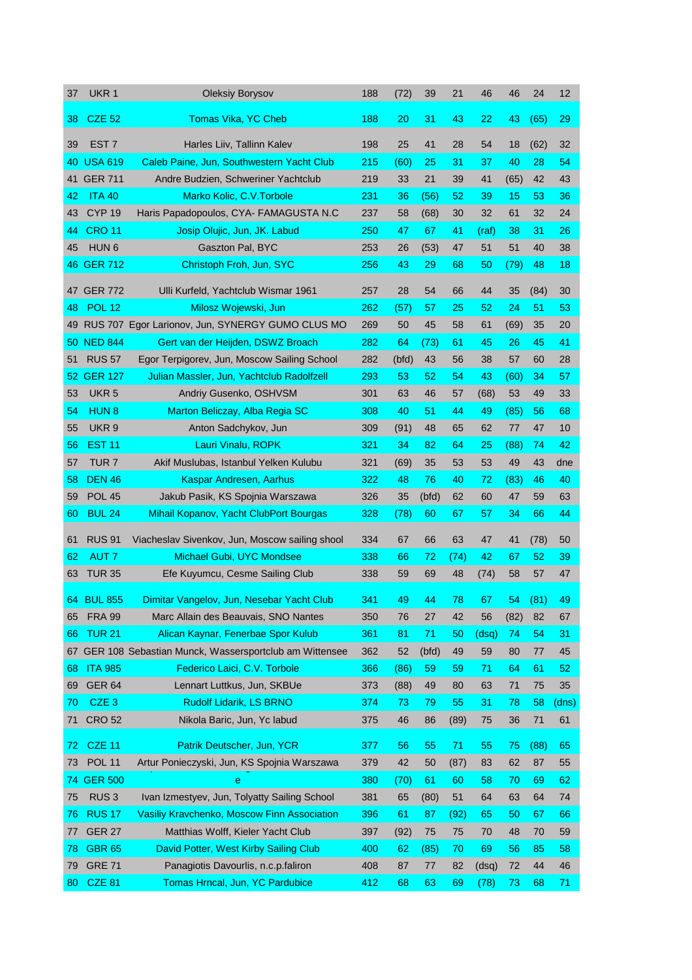| 37 | UKR 1            | <b>Oleksiy Borysov</b>                                | 188 | (72)  | 39    | 21   | 46    | 46   | 24   | 12    |
|----|------------------|-------------------------------------------------------|-----|-------|-------|------|-------|------|------|-------|
| 38 | <b>CZE 52</b>    | Tomas Vika, YC Cheb                                   | 188 | 20    | 31    | 43   | 22    | 43   | (65) | 29    |
| 39 | EST <sub>7</sub> | Harles Liiv, Tallinn Kalev                            | 198 | 25    | 41    | 28   | 54    | 18   | (62) | 32    |
| 40 | <b>USA 619</b>   | Caleb Paine, Jun, Southwestern Yacht Club             | 215 | (60)  | 25    | 31   | 37    | 40   | 28   | 54    |
| 41 | <b>GER 711</b>   | Andre Budzien, Schweriner Yachtclub                   | 219 | 33    | 21    | 39   | 41    | (65) | 42   | 43    |
| 42 | <b>ITA 40</b>    | Marko Kolic, C.V. Torbole                             | 231 | 36    | (56)  | 52   | 39    | 15   | 53   | 36    |
| 43 | <b>CYP 19</b>    | Haris Papadopoulos, CYA- FAMAGUSTA N.C                | 237 | 58    | (68)  | 30   | 32    | 61   | 32   | 24    |
| 44 | <b>CRO 11</b>    | Josip Olujic, Jun, JK. Labud                          | 250 | 47    | 67    | 41   | (raf) | 38   | 31   | 26    |
| 45 | HUN <sub>6</sub> | Gaszton Pal, BYC                                      | 253 | 26    | (53)  | 47   | 51    | 51   | 40   | 38    |
|    | 46 GER 712       | Christoph Froh, Jun, SYC                              | 256 | 43    | 29    | 68   | 50    | (79) | 48   | 18    |
|    | 47 GER 772       | Ulli Kurfeld, Yachtclub Wismar 1961                   | 257 | 28    | 54    | 66   | 44    | 35   | (84) | 30    |
| 48 | <b>POL 12</b>    | Milosz Wojewski, Jun                                  | 262 | (57)  | 57    | 25   | 52    | 24   | 51   | 53    |
| 49 |                  | RUS 707 Egor Larionov, Jun, SYNERGY GUMO CLUS MO      | 269 | 50    | 45    | 58   | 61    | (69) | 35   | 20    |
|    | 50 NED 844       | Gert van der Heijden, DSWZ Broach                     | 282 | 64    | (73)  | 61   | 45    | 26   | 45   | 41    |
| 51 | <b>RUS 57</b>    | Egor Terpigorev, Jun, Moscow Sailing School           | 282 | (bfd) | 43    | 56   | 38    | 57   | 60   | 28    |
|    | 52 GER 127       | Julian Massler, Jun, Yachtclub Radolfzell             | 293 | 53    | 52    | 54   | 43    | (60) | 34   | 57    |
| 53 | UKR <sub>5</sub> | Andriy Gusenko, OSHVSM                                | 301 | 63    | 46    | 57   | (68)  | 53   | 49   | 33    |
| 54 | HUN <sub>8</sub> | Marton Beliczay, Alba Regia SC                        | 308 | 40    | 51    | 44   | 49    | (85) | 56   | 68    |
| 55 | UKR <sub>9</sub> | Anton Sadchykov, Jun                                  | 309 | (91)  | 48    | 65   | 62    | 77   | 47   | 10    |
| 56 | <b>EST 11</b>    | Lauri Vinalu, ROPK                                    | 321 | 34    | 82    | 64   | 25    | (88) | 74   | 42    |
| 57 | TUR <sub>7</sub> | Akif Muslubas, Istanbul Yelken Kulubu                 | 321 | (69)  | 35    | 53   | 53    | 49   | 43   | dne   |
| 58 | <b>DEN 46</b>    |                                                       | 322 | 48    | 76    | 40   | 72    |      | 46   | 40    |
|    | <b>POL 45</b>    | Kaspar Andresen, Aarhus                               |     |       |       |      |       | (83) |      |       |
| 59 |                  | Jakub Pasik, KS Spojnia Warszawa                      | 326 | 35    | (bfd) | 62   | 60    | 47   | 59   | 63    |
| 60 | <b>BUL 24</b>    | Mihail Kopanov, Yacht ClubPort Bourgas                | 328 | (78)  | 60    | 67   | 57    | 34   | 66   | 44    |
| 61 | <b>RUS 91</b>    | Viacheslav Sivenkov, Jun, Moscow sailing shool        | 334 | 67    | 66    | 63   | 47    | 41   | (78) | 50    |
| 62 | AUT 7            | Michael Gubi, UYC Mondsee                             | 338 | 66    | 72    | (74) | 42    | 67   | 52   | 39    |
| 63 | <b>TUR 35</b>    | Efe Kuyumcu, Cesme Sailing Club                       | 338 | 59    | 69    | 48   | (74)  | 58   | 57   | 47    |
|    | 64 BUL 855       | Dimitar Vangelov, Jun, Nesebar Yacht Club             | 341 | 49    | 44    | 78   | 67    | 54   | (81) | 49    |
| 65 | <b>FRA 99</b>    | Marc Allain des Beauvais, SNO Nantes                  | 350 | 76    | 27    | 42   | 56    | (82) | 82   | 67    |
| 66 | <b>TUR 21</b>    | Alican Kaynar, Fenerbae Spor Kulub                    | 361 | 81    | 71    | 50   | (dsq) | 74   | 54   | 31    |
| 67 |                  | GER 108 Sebastian Munck, Wassersportclub am Wittensee | 362 | 52    | (bfd) | 49   | 59    | 80   | 77   | 45    |
| 68 | <b>ITA 985</b>   | Federico Laici, C.V. Torbole                          | 366 | (86)  | 59    | 59   | 71    | 64   | 61   | 52    |
| 69 | <b>GER 64</b>    | Lennart Luttkus, Jun, SKBUe                           | 373 | (88)  | 49    | 80   | 63    | 71   | 75   | 35    |
| 70 | CZE <sub>3</sub> | <b>Rudolf Lidarik, LS BRNO</b>                        | 374 | 73    | 79    | 55   | 31    | 78   | 58   | (dns) |
| 71 | <b>CRO 52</b>    | Nikola Baric, Jun, Yc labud                           | 375 | 46    | 86    | (89) | 75    | 36   | 71   | 61    |
| 72 | <b>CZE 11</b>    | Patrik Deutscher, Jun, YCR                            | 377 | 56    | 55    | 71   | 55    | 75   | (88) | 65    |
| 73 | <b>POL 11</b>    | Artur Ponieczyski, Jun, KS Spojnia Warszawa           | 379 | 42    | 50    | (87) | 83    | 62   | 87   | 55    |
| 74 | <b>GER 500</b>   | e                                                     | 380 | (70)  | 61    | 60   | 58    | 70   | 69   | 62    |
| 75 | RUS <sub>3</sub> | Ivan Izmestyev, Jun, Tolyatty Sailing School          | 381 | 65    | (80)  | 51   | 64    | 63   | 64   | 74    |
| 76 | <b>RUS 17</b>    | Vasiliy Kravchenko, Moscow Finn Association           | 396 | 61    | 87    | (92) | 65    | 50   | 67   | 66    |
| 77 | <b>GER 27</b>    | Matthias Wolff, Kieler Yacht Club                     | 397 | (92)  | 75    | 75   | 70    | 48   | 70   | 59    |
| 78 | <b>GBR 65</b>    | David Potter, West Kirby Sailing Club                 | 400 | 62    | (85)  | 70   | 69    | 56   | 85   | 58    |
| 79 | <b>GRE 71</b>    | Panagiotis Davourlis, n.c.p.faliron                   | 408 | 87    | 77    | 82   | (dsq) | 72   | 44   | 46    |
| 80 | <b>CZE 81</b>    | Tomas Hrncal, Jun, YC Pardubice                       | 412 | 68    | 63    | 69   | (78)  | 73   | 68   | 71    |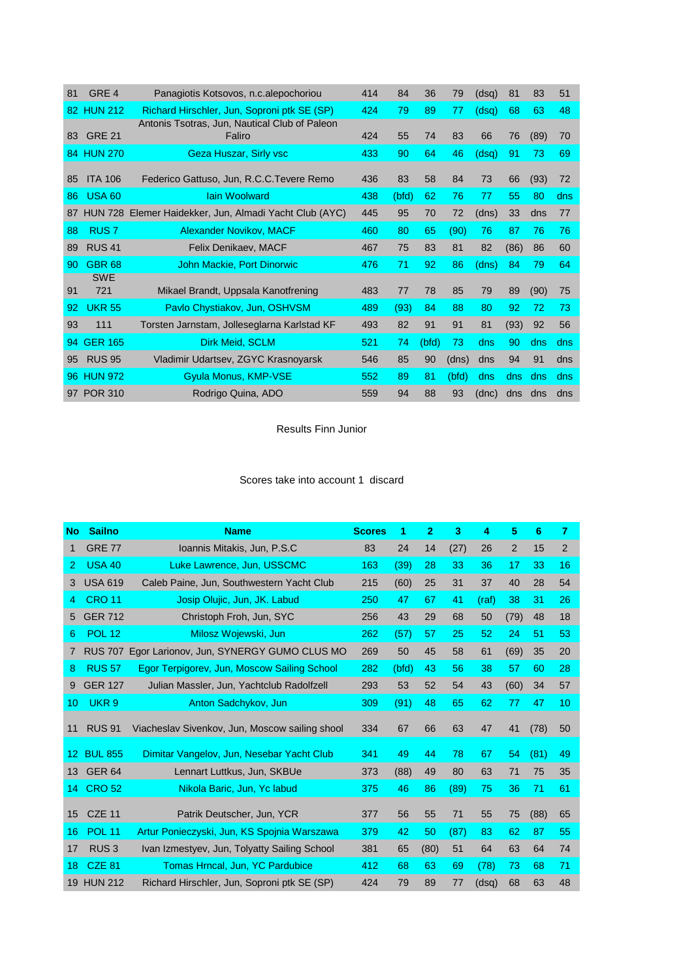| 81 | GRE <sub>4</sub> | Panagiotis Kotsovos, n.c.alepochoriou          | 414 | 84    | 36    | 79    | (dsq) | 81   | 83   | 51  |
|----|------------------|------------------------------------------------|-----|-------|-------|-------|-------|------|------|-----|
|    | 82 HUN 212       | Richard Hirschler, Jun, Soproni ptk SE (SP)    | 424 | 79    | 89    | 77    | (dsq) | 68   | 63   | 48  |
|    |                  | Antonis Tsotras, Jun, Nautical Club of Paleon  |     |       |       |       |       |      |      |     |
| 83 | <b>GRE 21</b>    | Faliro                                         | 424 | 55    | 74    | 83    | 66    | 76   | (89) | 70  |
| 84 | <b>HUN 270</b>   | Geza Huszar, Sirly vsc                         | 433 | 90    | 64    | 46    | (dsq) | 91   | 73   | 69  |
|    |                  |                                                |     |       |       |       |       |      |      |     |
| 85 | <b>ITA 106</b>   | Federico Gattuso, Jun, R.C.C. Tevere Remo      | 436 | 83    | 58    | 84    | 73    | 66   | (93) | 72  |
| 86 | <b>USA 60</b>    | <b>Jain Woolward</b>                           | 438 | (bfd) | 62    | 76    | 77    | 55   | 80   | dns |
| 87 | <b>HUN 728</b>   | Elemer Haidekker, Jun, Almadi Yacht Club (AYC) | 445 | 95    | 70    | 72    | (dns) | 33   | dns  | 77  |
| 88 | <b>RUS7</b>      | Alexander Novikov, MACF                        | 460 | 80    | 65    | (90)  | 76    | 87   | 76   | 76  |
| 89 | <b>RUS 41</b>    | Felix Denikaev, MACF                           | 467 | 75    | 83    | 81    | 82    | (86) | 86   | 60  |
| 90 | <b>GBR 68</b>    | John Mackie, Port Dinorwic                     | 476 | 71    | 92    | 86    | (dns) | 84   | 79   | 64  |
|    | <b>SWE</b>       |                                                |     |       |       |       |       |      |      |     |
| 91 | 721              | Mikael Brandt, Uppsala Kanotfrening            | 483 | 77    | 78    | 85    | 79    | 89   | (90) | 75  |
| 92 | <b>UKR 55</b>    | Pavlo Chystiakov, Jun, OSHVSM                  | 489 | (93)  | 84    | 88    | 80    | 92   | 72   | 73  |
| 93 | 111              | Torsten Jarnstam, Jolleseglarna Karlstad KF    | 493 | 82    | 91    | 91    | 81    | (93) | 92   | 56  |
| 94 | <b>GER 165</b>   | Dirk Meid, SCLM                                | 521 | 74    | (bfd) | 73    | dns   | 90   | dns  | dns |
| 95 | <b>RUS 95</b>    | Vladimir Udartsev, ZGYC Krasnoyarsk            | 546 | 85    | 90    | (dns) | dns   | 94   | 91   | dns |
| 96 | <b>HUN 972</b>   | Gyula Monus, KMP-VSE                           | 552 | 89    | 81    | (bfd) | dns   | dns  | dns  | dns |
|    | 97 POR 310       | Rodrigo Quina, ADO                             | 559 | 94    | 88    | 93    | (dnc) | dns  | dns  | dns |

Results Finn Junior

## Scores take into account 1 discard

| <b>No</b>   | <b>Sailno</b>    | <b>Name</b>                                    | <b>Scores</b> | 1     | $\mathbf{2}$ | 3    | 4     | 5              | 6    | 7  |
|-------------|------------------|------------------------------------------------|---------------|-------|--------------|------|-------|----------------|------|----|
| $\mathbf 1$ | <b>GRE 77</b>    | Ioannis Mitakis, Jun, P.S.C                    | 83            | 24    | 14           | (27) | 26    | $\overline{2}$ | 15   | 2  |
| 2           | <b>USA 40</b>    | Luke Lawrence, Jun, USSCMC                     | 163           | (39)  | 28           | 33   | 36    | 17             | 33   | 16 |
| 3           | <b>USA 619</b>   | Caleb Paine, Jun, Southwestern Yacht Club      | 215           | (60)  | 25           | 31   | 37    | 40             | 28   | 54 |
| 4           | <b>CRO 11</b>    | Josip Olujic, Jun, JK. Labud                   | 250           | 47    | 67           | 41   | (raf) | 38             | 31   | 26 |
| 5           | <b>GER 712</b>   | Christoph Froh, Jun, SYC                       | 256           | 43    | 29           | 68   | 50    | (79)           | 48   | 18 |
| 6           | <b>POL 12</b>    | Milosz Wojewski, Jun                           | 262           | (57)  | 57           | 25   | 52    | 24             | 51   | 53 |
| 7           | <b>RUS 707</b>   | Egor Larionov, Jun, SYNERGY GUMO CLUS MO       | 269           | 50    | 45           | 58   | 61    | (69)           | 35   | 20 |
| 8           | <b>RUS 57</b>    | Egor Terpigorev, Jun, Moscow Sailing School    | 282           | (bfd) | 43           | 56   | 38    | 57             | 60   | 28 |
| 9           | <b>GER 127</b>   | Julian Massler, Jun, Yachtclub Radolfzell      | 293           | 53    | 52           | 54   | 43    | (60)           | 34   | 57 |
| 10          | UKR <sub>9</sub> | Anton Sadchykov, Jun                           | 309           | (91)  | 48           | 65   | 62    | 77             | 47   | 10 |
| 11          | <b>RUS 91</b>    | Viacheslav Sivenkov, Jun, Moscow sailing shool | 334           | 67    | 66           | 63   | 47    | 41             | (78) | 50 |
| 12          | <b>BUL 855</b>   | Dimitar Vangelov, Jun, Nesebar Yacht Club      | 341           | 49    | 44           | 78   | 67    | 54             | (81) | 49 |
| 13          | <b>GER 64</b>    | Lennart Luttkus, Jun, SKBUe                    | 373           | (88)  | 49           | 80   | 63    | 71             | 75   | 35 |
| 14          | <b>CRO 52</b>    | Nikola Baric, Jun, Yc labud                    | 375           | 46    | 86           | (89) | 75    | 36             | 71   | 61 |
| 15          | <b>CZE 11</b>    | Patrik Deutscher, Jun, YCR                     | 377           | 56    | 55           | 71   | 55    | 75             | (88) | 65 |
| 16          | <b>POL 11</b>    | Artur Ponieczyski, Jun, KS Spojnia Warszawa    | 379           | 42    | 50           | (87) | 83    | 62             | 87   | 55 |
| 17          | RUS <sub>3</sub> | Ivan Izmestyev, Jun, Tolyatty Sailing School   | 381           | 65    | (80)         | 51   | 64    | 63             | 64   | 74 |
| 18          | <b>CZE 81</b>    | Tomas Hrncal, Jun, YC Pardubice                | 412           | 68    | 63           | 69   | (78)  | 73             | 68   | 71 |
| 19          | <b>HUN 212</b>   | Richard Hirschler, Jun, Soproni ptk SE (SP)    | 424           | 79    | 89           | 77   | (dsq) | 68             | 63   | 48 |